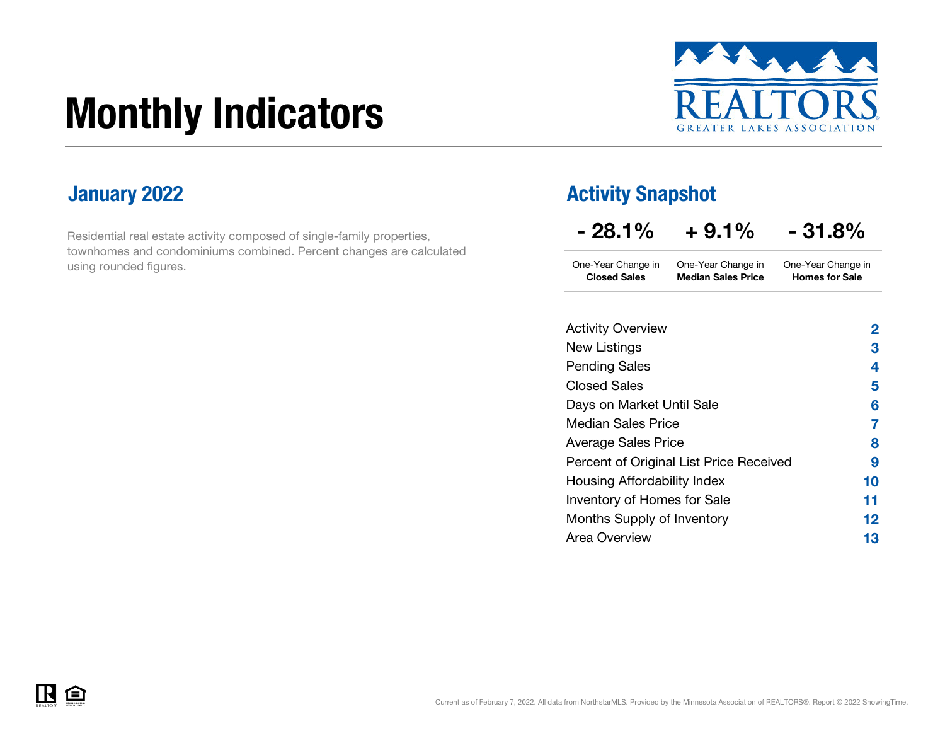# Monthly Indicators



Residential real estate activity composed of single-family properties, townhomes and condominiums combined. Percent changes are calculated using rounded figures.

### **January 2022 Activity Snapshot Activity Snapshot**

| $-28.1\%$                                 | $+9.1%$                                         | $-31.8%$                                    |
|-------------------------------------------|-------------------------------------------------|---------------------------------------------|
| One-Year Change in<br><b>Closed Sales</b> | One-Year Change in<br><b>Median Sales Price</b> | One-Year Change in<br><b>Homes for Sale</b> |
| <b>Activity Overview</b>                  |                                                 | <u>2</u>                                    |
| New Listings                              |                                                 | 3                                           |
| <b>Pending Sales</b>                      |                                                 | 4                                           |
| <b>Closed Sales</b>                       |                                                 | 5                                           |
| Days on Market Until Sale                 |                                                 | 6                                           |
| <b>Median Sales Price</b>                 |                                                 | 7                                           |
| <b>Average Sales Price</b>                |                                                 | 8                                           |
|                                           | Percent of Original List Price Received         | 9                                           |
| Housing Affordability Index               |                                                 | 10                                          |
| <b>Inventory of Homes for Sale</b>        |                                                 | 11                                          |
| Months Supply of Inventory                |                                                 | 12                                          |
| <b>Area Overview</b>                      |                                                 | 13                                          |

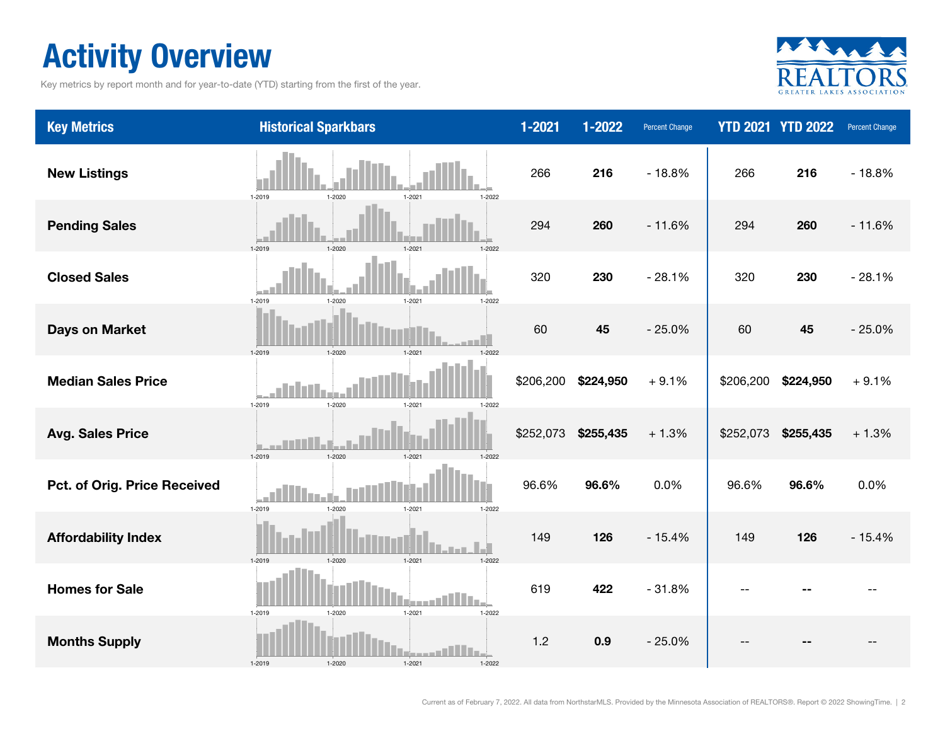### Activity Overview

Key metrics by report month and for year-to-date (YTD) starting from the first of the year.



| <b>Key Metrics</b>           | <b>Historical Sparkbars</b>                      | $1 - 2021$ | 1-2022    | Percent Change |           | <b>YTD 2021 YTD 2022</b> | Percent Change |
|------------------------------|--------------------------------------------------|------------|-----------|----------------|-----------|--------------------------|----------------|
| <b>New Listings</b>          | 1-2019<br>1-2020<br>1-2021<br>$1 - 2022$         | 266        | 216       | $-18.8%$       | 266       | 216                      | $-18.8%$       |
| <b>Pending Sales</b>         | 1-2019<br>1-2020<br>$1 - 202$<br>1-2022          | 294        | 260       | $-11.6%$       | 294       | 260                      | $-11.6%$       |
| <b>Closed Sales</b>          | 1-2019<br>1-2020<br>$1 - 2021$<br>1-2022         | 320        | 230       | $-28.1%$       | 320       | 230                      | $-28.1%$       |
| <b>Days on Market</b>        | 1-2019<br>1-2020<br>1-2021<br>1-2022             | 60         | 45        | $-25.0%$       | 60        | 45                       | $-25.0%$       |
| <b>Median Sales Price</b>    | $1 - 2020$<br>1-2019<br>1-2021<br>1-2022         | \$206,200  | \$224,950 | $+9.1%$        | \$206,200 | \$224,950                | $+9.1%$        |
| <b>Avg. Sales Price</b>      | 1-2019<br>1-2021<br>$1 - 2022$<br>$1 - 2021$     | \$252,073  | \$255,435 | $+1.3%$        | \$252,073 | \$255,435                | $+1.3%$        |
| Pct. of Orig. Price Received | 1-2019<br>$1 - 2020$<br>$1 - 2021$<br>$1 - 2022$ | 96.6%      | 96.6%     | 0.0%           | 96.6%     | 96.6%                    | 0.0%           |
| <b>Affordability Index</b>   | $1 - 2020$<br>$1 - 2021$<br>1-2019<br>1-2022     | 149        | 126       | $-15.4%$       | 149       | 126                      | $-15.4%$       |
| <b>Homes for Sale</b>        | 1-2019<br>$1 - 2020$<br>$1 - 2021$<br>$1 - 2022$ | 619        | 422       | $-31.8%$       |           |                          |                |
| <b>Months Supply</b>         | 1-2019<br>$1 - 2020$<br>1-2021<br>1-2022         | $1.2$      | 0.9       | $-25.0%$       |           |                          |                |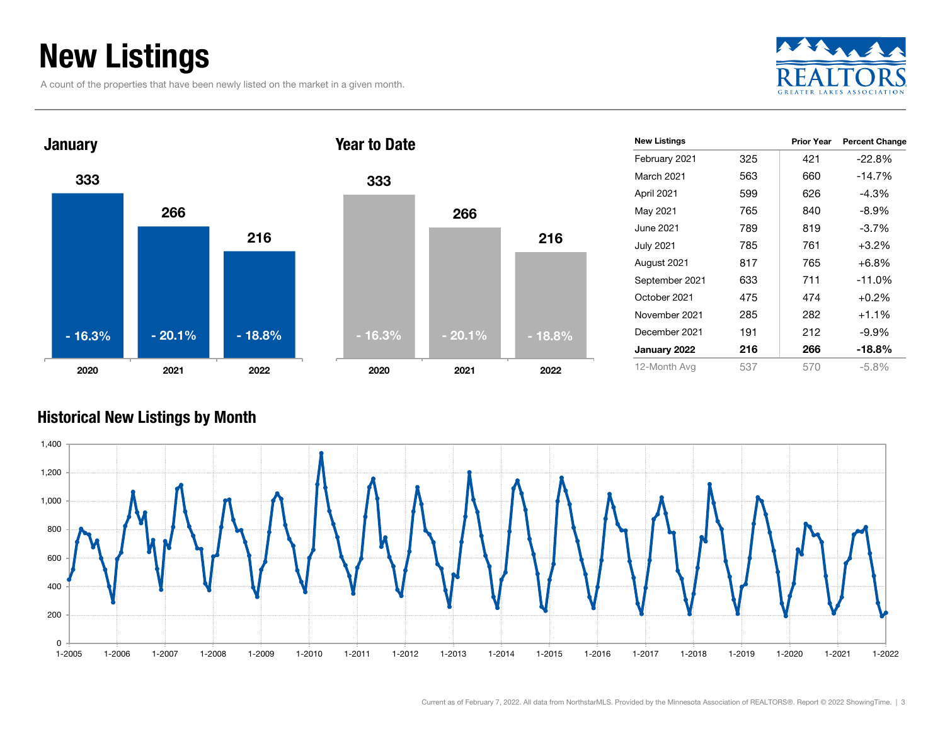### New Listings

A count of the properties that have been newly listed on the market in a given month.





|       | <b>New Listings</b> |     | <b>Prior Year</b> | <b>Percent Change</b> |
|-------|---------------------|-----|-------------------|-----------------------|
|       | February 2021       | 325 | 421               | $-22.8%$              |
|       | March 2021          | 563 | 660               | $-14.7%$              |
|       | April 2021          | 599 | 626               | $-4.3%$               |
|       | May 2021            | 765 | 840               | $-8.9\%$              |
|       | June 2021           | 789 | 819               | $-3.7%$               |
| 216   | <b>July 2021</b>    | 785 | 761               | $+3.2%$               |
|       | August 2021         | 817 | 765               | $+6.8%$               |
|       | September 2021      | 633 | 711               | $-11.0%$              |
|       | October 2021        | 475 | 474               | $+0.2%$               |
|       | November 2021       | 285 | 282               | $+1.1%$               |
| 18.8% | December 2021       | 191 | 212               | -9.9%                 |
|       | January 2022        | 216 | 266               | $-18.8%$              |
| 2022  | 12-Month Avg        | 537 | 570               | $-5.8\%$              |
|       |                     |     |                   |                       |

#### Historical New Listings by Month

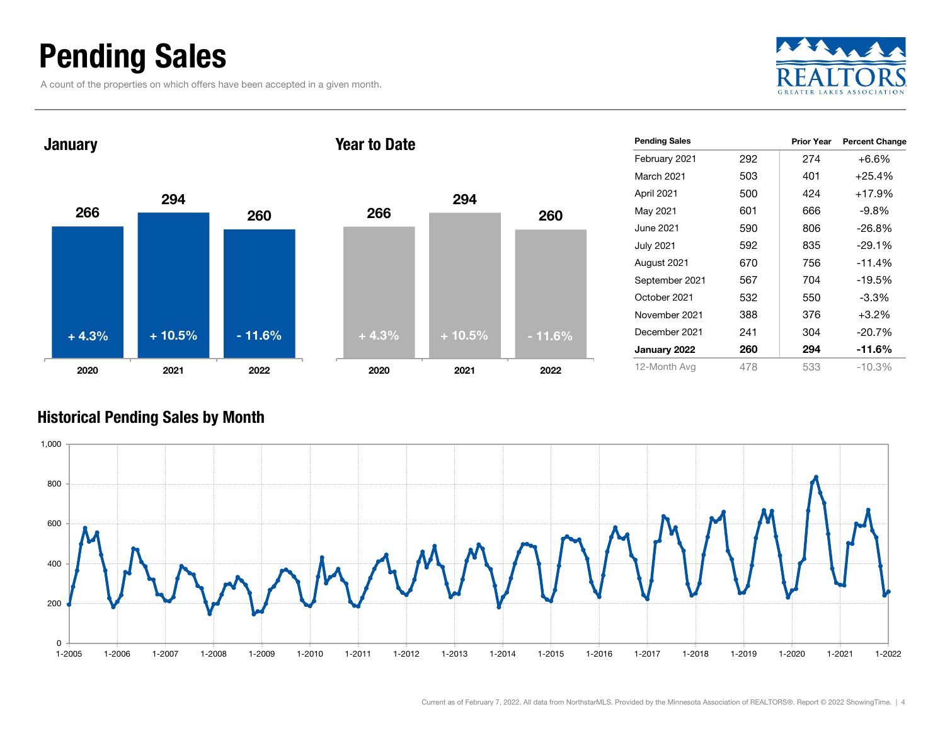### Pending Sales

A count of the properties on which offers have been accepted in a given month.





| <b>Pending Sales</b> |     | <b>Prior Year</b> | <b>Percent Change</b> |
|----------------------|-----|-------------------|-----------------------|
| February 2021        | 292 | 274               | $+6.6%$               |
| March 2021           | 503 | 401               | $+25.4%$              |
| April 2021           | 500 | 424               | $+17.9%$              |
| May 2021             | 601 | 666               | -9.8%                 |
| June 2021            | 590 | 806               | $-26.8%$              |
| <b>July 2021</b>     | 592 | 835               | $-29.1%$              |
| August 2021          | 670 | 756               | $-11.4%$              |
| September 2021       | 567 | 704               | $-19.5%$              |
| October 2021         | 532 | 550               | $-3.3\%$              |
| November 2021        | 388 | 376               | $+3.2%$               |
| December 2021        | 241 | 304               | $-20.7%$              |
| January 2022         | 260 | 294               | -11.6%                |
| 12-Month Avg         | 478 | 533               | $-10.3\%$             |

#### Historical Pending Sales by Month

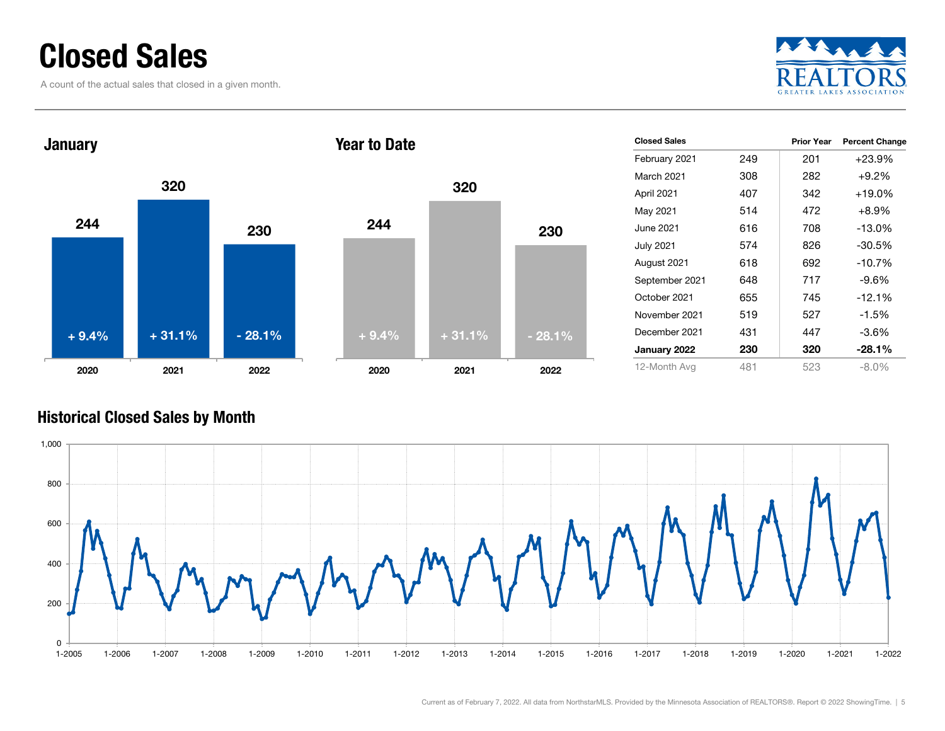### Closed Sales

A count of the actual sales that closed in a given month.





#### Historical Closed Sales by Month

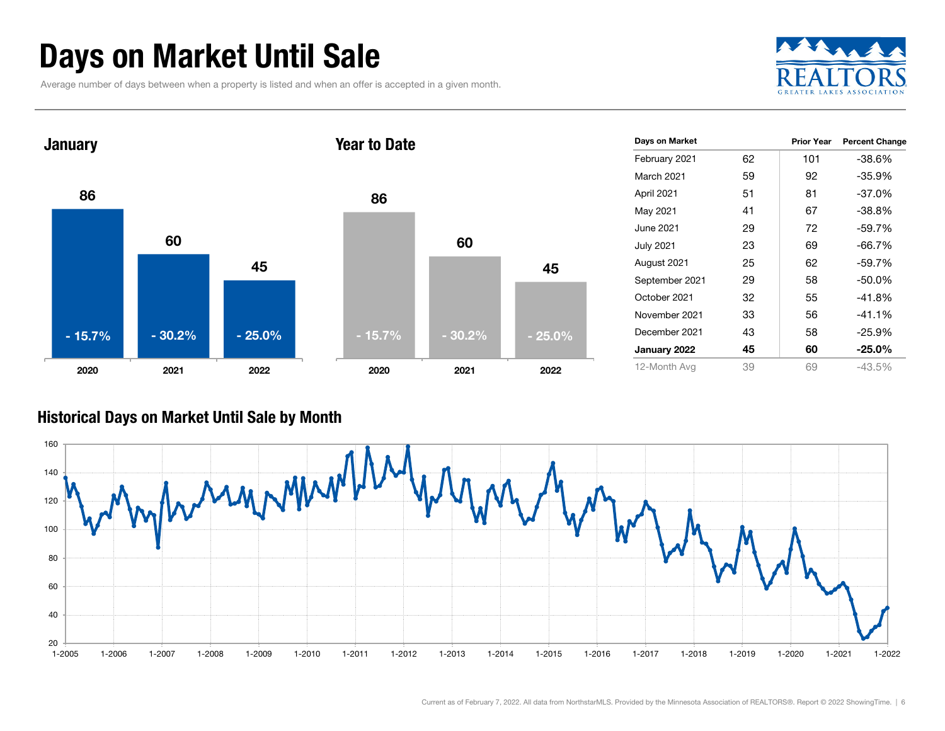### Days on Market Until Sale

Average number of days between when a property is listed and when an offer is accepted in a given month.





#### Historical Days on Market Until Sale by Month

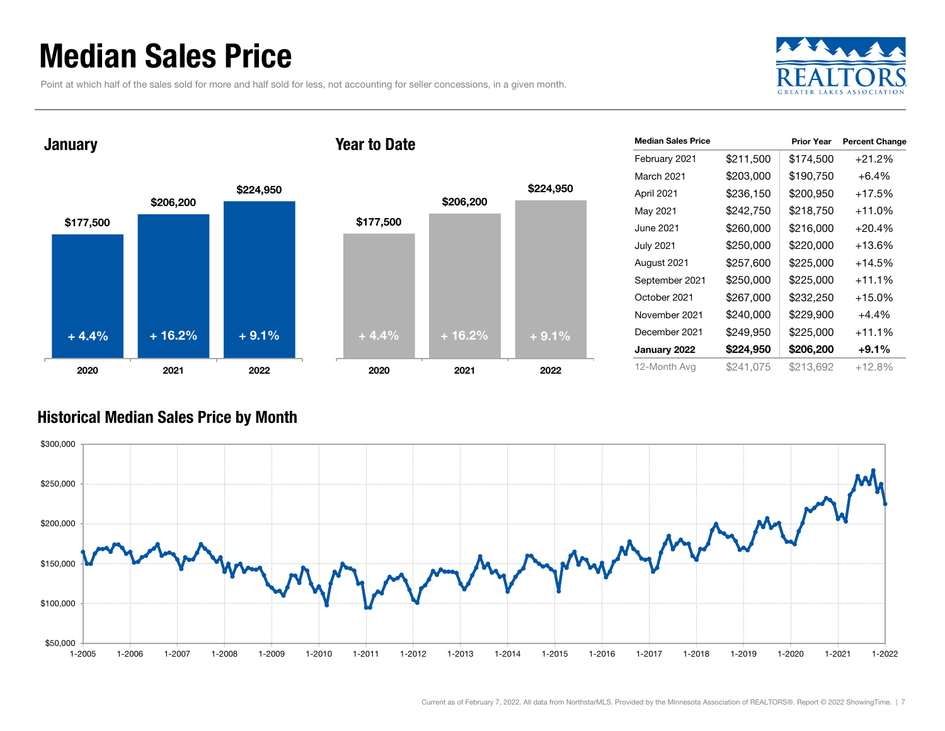### Median Sales Price

Point at which half of the sales sold for more and half sold for less, not accounting for seller concessions, in a given month.



January





| <b>Median Sales Price</b> |           | <b>Prior Year</b> | <b>Percent Change</b> |
|---------------------------|-----------|-------------------|-----------------------|
| February 2021             | \$211,500 | \$174,500         | $+21.2%$              |
| March 2021                | \$203,000 | \$190,750         | $+6.4%$               |
| April 2021                | \$236,150 | \$200,950         | +17.5%                |
| May 2021                  | \$242,750 | \$218,750         | $+11.0%$              |
| June 2021                 | \$260,000 | \$216,000         | $+20.4%$              |
| <b>July 2021</b>          | \$250,000 | \$220,000         | $+13.6%$              |
| August 2021               | \$257,600 | \$225,000         | $+14.5%$              |
| September 2021            | \$250,000 | \$225,000         | $+11.1%$              |
| October 2021              | \$267,000 | \$232,250         | $+15.0%$              |
| November 2021             | \$240,000 | \$229,900         | $+4.4%$               |
| December 2021             | \$249,950 | \$225,000         | $+11.1%$              |
| January 2022              | \$224,950 | \$206,200         | $+9.1\%$              |
| 12-Month Avg              | \$241.075 | \$213.692         | +12.8%                |

#### Historical Median Sales Price by Month

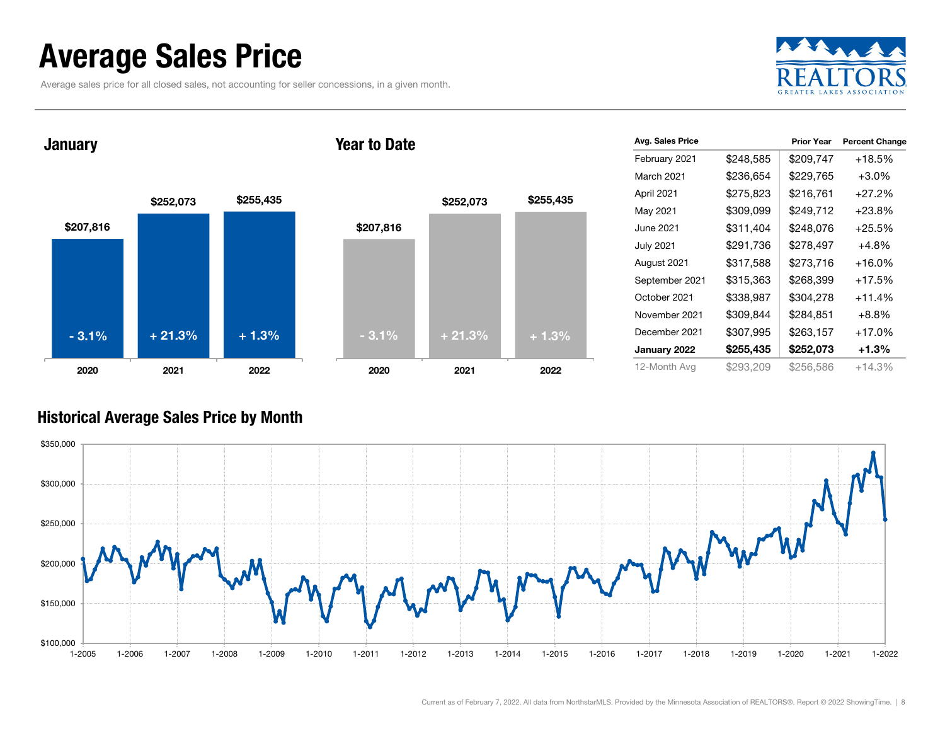### Average Sales Price

Average sales price for all closed sales, not accounting for seller concessions, in a given month.



January





| Avg. Sales Price |           | <b>Prior Year</b> | <b>Percent Change</b> |
|------------------|-----------|-------------------|-----------------------|
| February 2021    | \$248,585 | \$209,747         | $+18.5%$              |
| March 2021       | \$236,654 | \$229,765         | $+3.0%$               |
| April 2021       | \$275,823 | \$216.761         | $+27.2%$              |
| May 2021         | \$309,099 | \$249,712         | $+23.8%$              |
| June 2021        | \$311,404 | \$248,076         | $+25.5%$              |
| <b>July 2021</b> | \$291,736 | \$278,497         | $+4.8%$               |
| August 2021      | \$317,588 | \$273,716         | $+16.0%$              |
| September 2021   | \$315,363 | \$268,399         | $+17.5%$              |
| October 2021     | \$338,987 | \$304,278         | $+11.4%$              |
| November 2021    | \$309,844 | \$284,851         | $+8.8%$               |
| December 2021    | \$307,995 | \$263,157         | $+17.0%$              |
| January 2022     | \$255,435 | \$252,073         | $+1.3%$               |
| 12-Month Avg     | \$293,209 | \$256,586         | +14.3%                |

#### Historical Average Sales Price by Month

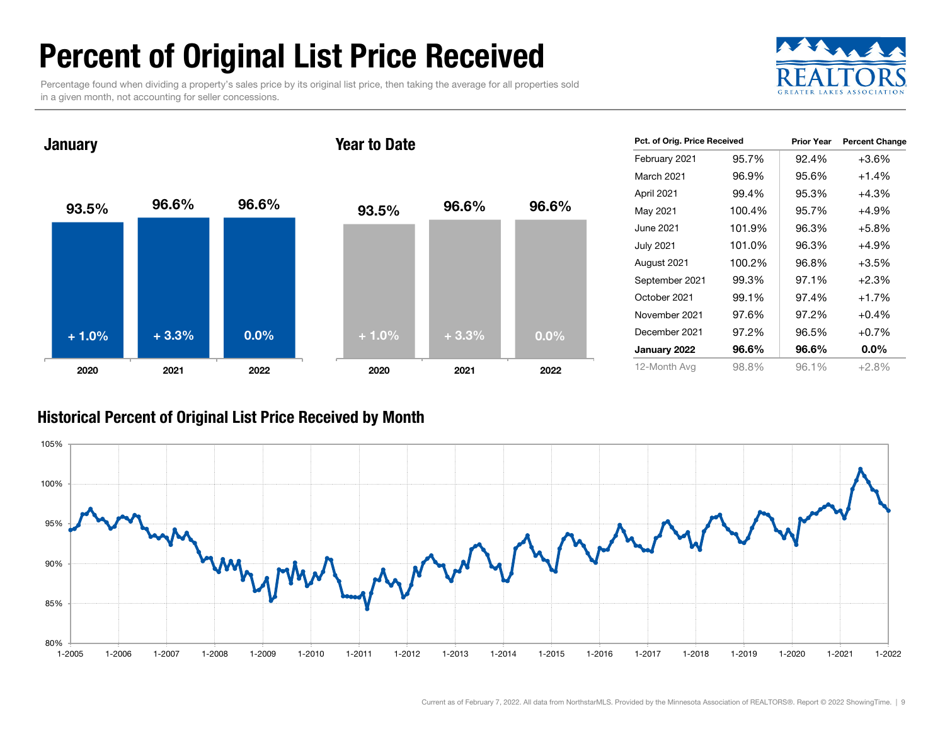### Percent of Original List Price Received

Percentage found when dividing a property's sales price by its original list price, then taking the average for all properties sold in a given month, not accounting for seller concessions.



93.5% 96.6% 96.6% 2020 2021 2022 **January** 93.5% 96.6% 96.6% 2020 2021 2022 Year to Date+ 1.0% $\%$  + 3.3% 0.0% + 1.0% + 3.3% 0.0%

| Pct. of Orig. Price Received |        | <b>Prior Year</b> | <b>Percent Change</b> |
|------------------------------|--------|-------------------|-----------------------|
| February 2021                | 95.7%  | 92.4%             | $+3.6%$               |
| March 2021                   | 96.9%  | 95.6%             | $+1.4%$               |
| April 2021                   | 99.4%  | 95.3%             | $+4.3%$               |
| May 2021                     | 100.4% | 95.7%             | $+4.9%$               |
| June 2021                    | 101.9% | 96.3%             | $+5.8\%$              |
| <b>July 2021</b>             | 101.0% | 96.3%             | $+4.9%$               |
| August 2021                  | 100.2% | 96.8%             | $+3.5%$               |
| September 2021               | 99.3%  | 97.1%             | $+2.3%$               |
| October 2021                 | 99.1%  | 97.4%             | $+1.7%$               |
| November 2021                | 97.6%  | 97.2%             | $+0.4%$               |
| December 2021                | 97.2%  | 96.5%             | $+0.7%$               |
| January 2022                 | 96.6%  | 96.6%             | $0.0\%$               |
| 12-Month Avg                 | 98.8%  | 96.1%             | $+2.8%$               |

#### Historical Percent of Original List Price Received by Month

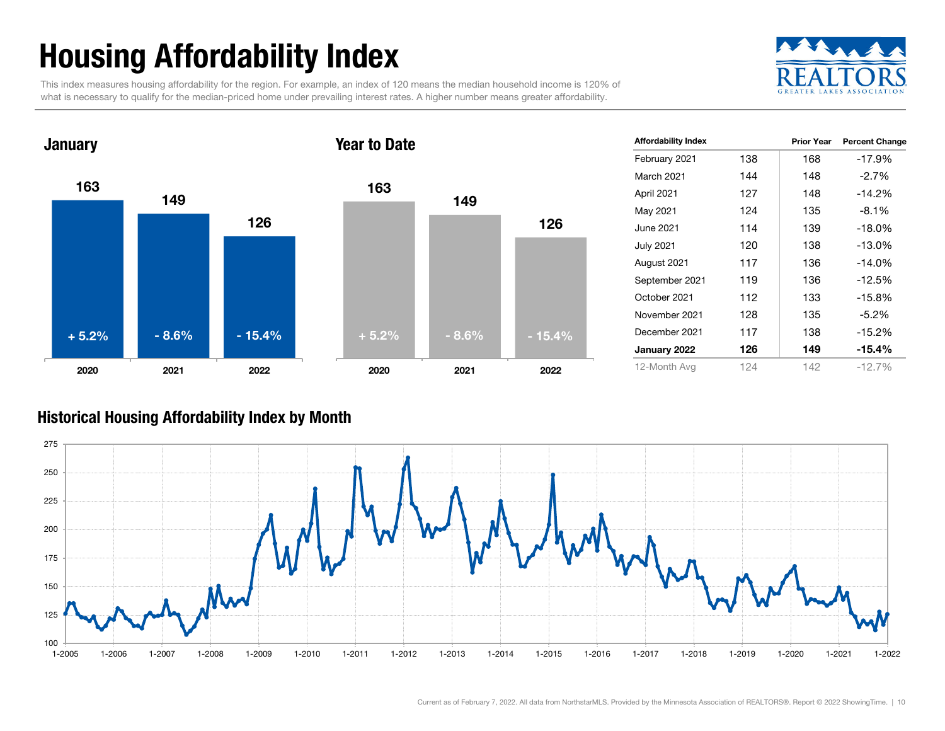## Housing Affordability Index

This index measures housing affordability for the region. For example, an index of 120 means the median household income is 120% of what is necessary to qualify for the median-priced home under prevailing interest rates. A higher number means greater affordability.





| <b>Affordability Index</b> |     | <b>Prior Year</b> | <b>Percent Change</b> |
|----------------------------|-----|-------------------|-----------------------|
| February 2021              | 138 | 168               | $-17.9%$              |
| March 2021                 | 144 | 148               | $-2.7\%$              |
| April 2021                 | 127 | 148               | $-14.2%$              |
| May 2021                   | 124 | 135               | $-8.1%$               |
| June 2021                  | 114 | 139               | $-18.0\%$             |
| <b>July 2021</b>           | 120 | 138               | $-13.0\%$             |
| August 2021                | 117 | 136               | $-14.0%$              |
| September 2021             | 119 | 136               | $-12.5%$              |
| October 2021               | 112 | 133               | $-15.8%$              |
| November 2021              | 128 | 135               | $-5.2\%$              |
| December 2021              | 117 | 138               | $-15.2%$              |
| January 2022               | 126 | 149               | $-15.4\%$             |
| 12-Month Avg               | 124 | 142               | $-12.7%$              |

#### Historical Housing Affordability Index by Mont h

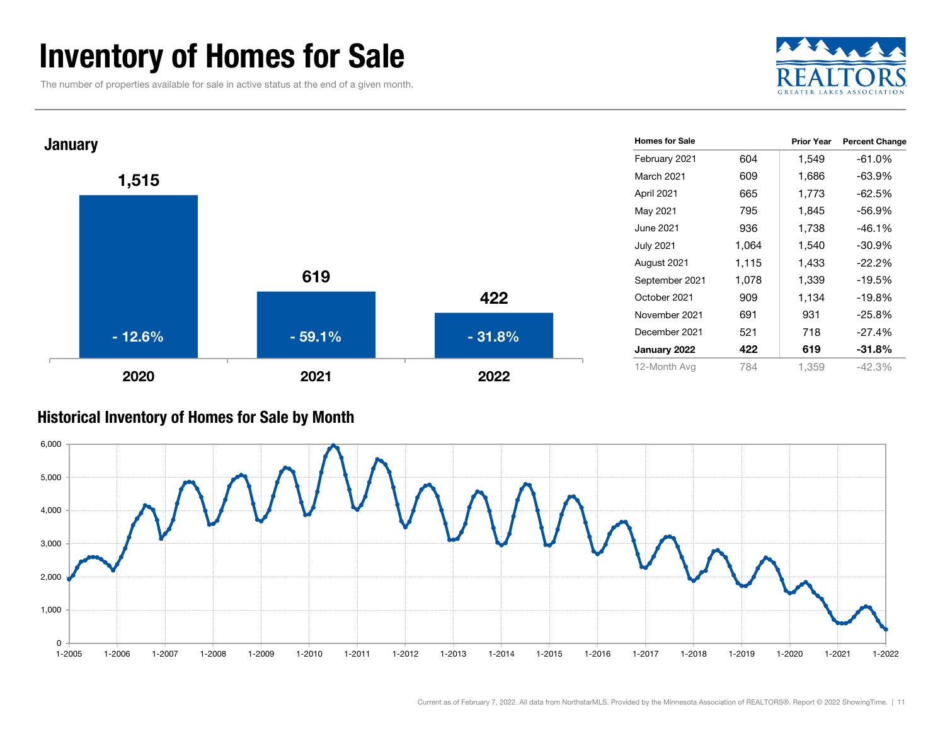### Inventory of Homes for Sale

The number of properties available for sale in active status at the end of a given month.





#### Historical Inventory of Homes for Sale by Month

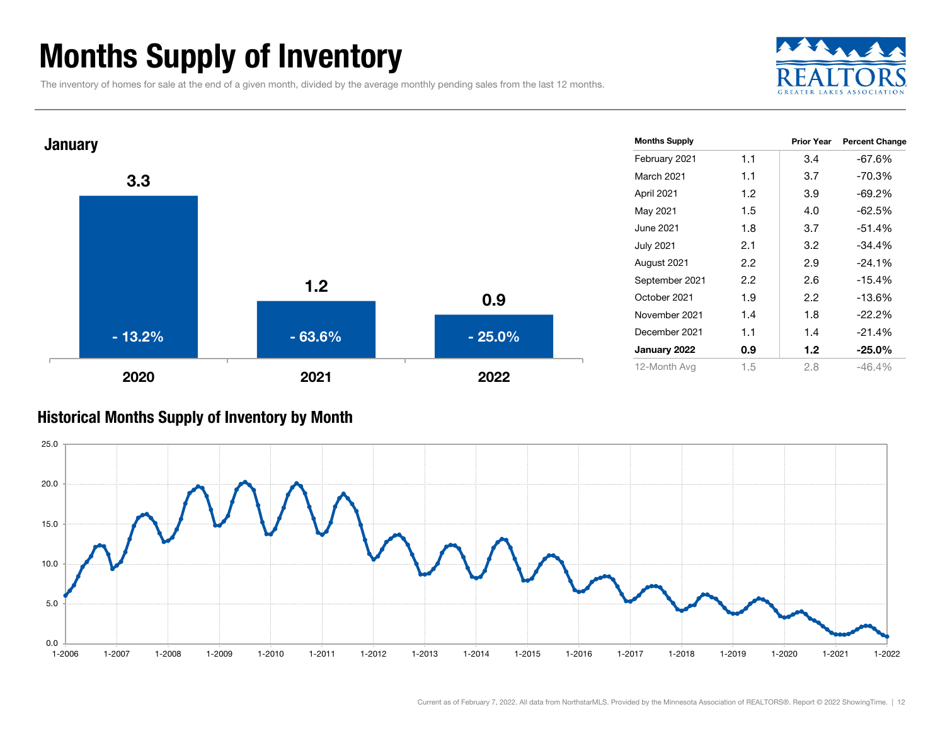### Months Supply of Inventory

The inventory of homes for sale at the end of a given month, divided by the average monthly pending sales from the last 12 months.





#### Historical Months Supply of Inventory by Month